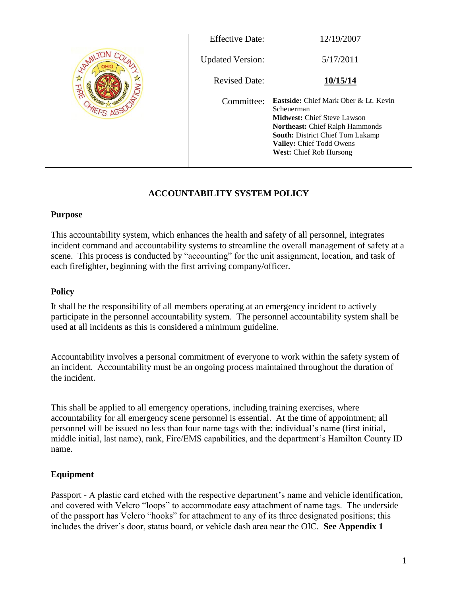

| <b>Effective Date:</b>  | 12/19/2007                                                                                                                                                                                                                                                 |
|-------------------------|------------------------------------------------------------------------------------------------------------------------------------------------------------------------------------------------------------------------------------------------------------|
| <b>Updated Version:</b> | 5/17/2011                                                                                                                                                                                                                                                  |
| <b>Revised Date:</b>    | 10/15/14                                                                                                                                                                                                                                                   |
| Committee:              | <b>Eastside:</b> Chief Mark Ober & Lt. Kevin<br>Scheuerman<br><b>Midwest:</b> Chief Steve Lawson<br><b>Northeast:</b> Chief Ralph Hammonds<br><b>South:</b> District Chief Tom Lakamp<br><b>Valley:</b> Chief Todd Owens<br><b>West:</b> Chief Rob Hursong |

# **ACCOUNTABILITY SYSTEM POLICY**

## **Purpose**

This accountability system, which enhances the health and safety of all personnel, integrates incident command and accountability systems to streamline the overall management of safety at a scene. This process is conducted by "accounting" for the unit assignment, location, and task of each firefighter, beginning with the first arriving company/officer.

## **Policy**

It shall be the responsibility of all members operating at an emergency incident to actively participate in the personnel accountability system. The personnel accountability system shall be used at all incidents as this is considered a minimum guideline.

Accountability involves a personal commitment of everyone to work within the safety system of an incident. Accountability must be an ongoing process maintained throughout the duration of the incident.

This shall be applied to all emergency operations, including training exercises, where accountability for all emergency scene personnel is essential. At the time of appointment; all personnel will be issued no less than four name tags with the: individual's name (first initial, middle initial, last name), rank, Fire/EMS capabilities, and the department's Hamilton County ID name.

# **Equipment**

Passport - A plastic card etched with the respective department's name and vehicle identification, and covered with Velcro "loops" to accommodate easy attachment of name tags. The underside of the passport has Velcro "hooks" for attachment to any of its three designated positions; this includes the driver's door, status board, or vehicle dash area near the OIC. **See Appendix 1**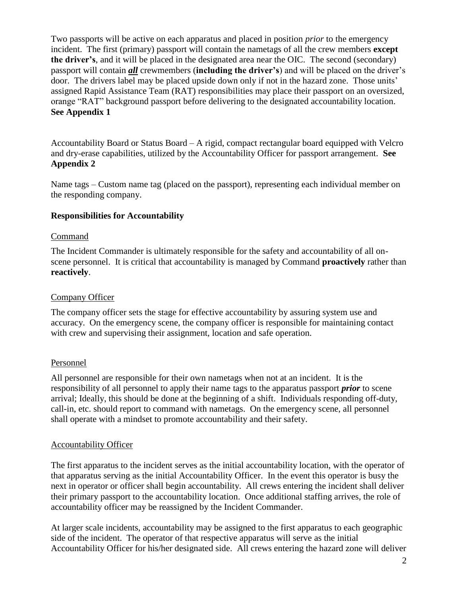Two passports will be active on each apparatus and placed in position *prior* to the emergency incident. The first (primary) passport will contain the nametags of all the crew members **except the driver's**, and it will be placed in the designated area near the OIC. The second (secondary) passport will contain *all* crewmembers (**including the driver's**) and will be placed on the driver's door. The drivers label may be placed upside down only if not in the hazard zone. Those units' assigned Rapid Assistance Team (RAT) responsibilities may place their passport on an oversized, orange "RAT" background passport before delivering to the designated accountability location. **See Appendix 1**

Accountability Board or Status Board – A rigid, compact rectangular board equipped with Velcro and dry-erase capabilities, utilized by the Accountability Officer for passport arrangement. **See Appendix 2**

Name tags – Custom name tag (placed on the passport), representing each individual member on the responding company.

# **Responsibilities for Accountability**

#### Command

The Incident Commander is ultimately responsible for the safety and accountability of all onscene personnel. It is critical that accountability is managed by Command **proactively** rather than **reactively**.

#### Company Officer

The company officer sets the stage for effective accountability by assuring system use and accuracy. On the emergency scene, the company officer is responsible for maintaining contact with crew and supervising their assignment, location and safe operation.

#### Personnel

All personnel are responsible for their own nametags when not at an incident. It is the responsibility of all personnel to apply their name tags to the apparatus passport *prior* to scene arrival; Ideally, this should be done at the beginning of a shift. Individuals responding off-duty, call-in, etc. should report to command with nametags. On the emergency scene, all personnel shall operate with a mindset to promote accountability and their safety.

#### Accountability Officer

The first apparatus to the incident serves as the initial accountability location, with the operator of that apparatus serving as the initial Accountability Officer. In the event this operator is busy the next in operator or officer shall begin accountability. All crews entering the incident shall deliver their primary passport to the accountability location. Once additional staffing arrives, the role of accountability officer may be reassigned by the Incident Commander.

At larger scale incidents, accountability may be assigned to the first apparatus to each geographic side of the incident. The operator of that respective apparatus will serve as the initial Accountability Officer for his/her designated side. All crews entering the hazard zone will deliver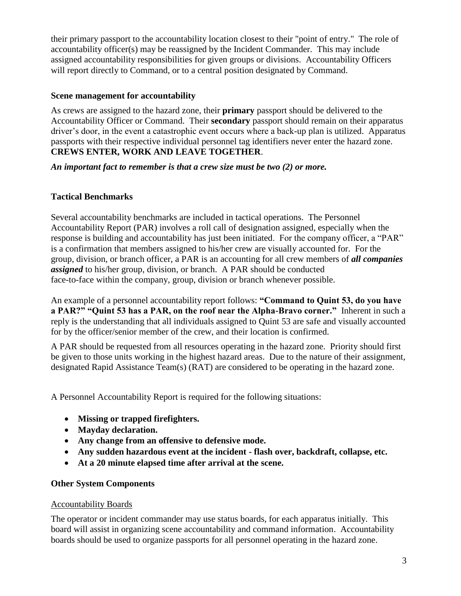their primary passport to the accountability location closest to their "point of entry." The role of accountability officer(s) may be reassigned by the Incident Commander. This may include assigned accountability responsibilities for given groups or divisions. Accountability Officers will report directly to Command, or to a central position designated by Command.

## **Scene management for accountability**

As crews are assigned to the hazard zone, their **primary** passport should be delivered to the Accountability Officer or Command. Their **secondary** passport should remain on their apparatus driver's door, in the event a catastrophic event occurs where a back-up plan is utilized. Apparatus passports with their respective individual personnel tag identifiers never enter the hazard zone. **CREWS ENTER, WORK AND LEAVE TOGETHER**.

*An important fact to remember is that a crew size must be two (2) or more.*

# **Tactical Benchmarks**

Several accountability benchmarks are included in tactical operations. The Personnel Accountability Report (PAR) involves a roll call of designation assigned, especially when the response is building and accountability has just been initiated. For the company officer, a "PAR" is a confirmation that members assigned to his/her crew are visually accounted for. For the group, division, or branch officer, a PAR is an accounting for all crew members of *all companies assigned* to his/her group, division, or branch. A PAR should be conducted face-to-face within the company, group, division or branch whenever possible.

An example of a personnel accountability report follows: **"Command to Quint 53, do you have a PAR?" "Quint 53 has a PAR, on the roof near the Alpha-Bravo corner."** Inherent in such a reply is the understanding that all individuals assigned to Quint 53 are safe and visually accounted for by the officer/senior member of the crew, and their location is confirmed.

A PAR should be requested from all resources operating in the hazard zone. Priority should first be given to those units working in the highest hazard areas. Due to the nature of their assignment, designated Rapid Assistance Team(s) (RAT) are considered to be operating in the hazard zone.

A Personnel Accountability Report is required for the following situations:

- **Missing or trapped firefighters.**
- **Mayday declaration.**
- **Any change from an offensive to defensive mode.**
- **Any sudden hazardous event at the incident - flash over, backdraft, collapse, etc.**
- **At a 20 minute elapsed time after arrival at the scene.**

# **Other System Components**

# Accountability Boards

The operator or incident commander may use status boards, for each apparatus initially. This board will assist in organizing scene accountability and command information. Accountability boards should be used to organize passports for all personnel operating in the hazard zone.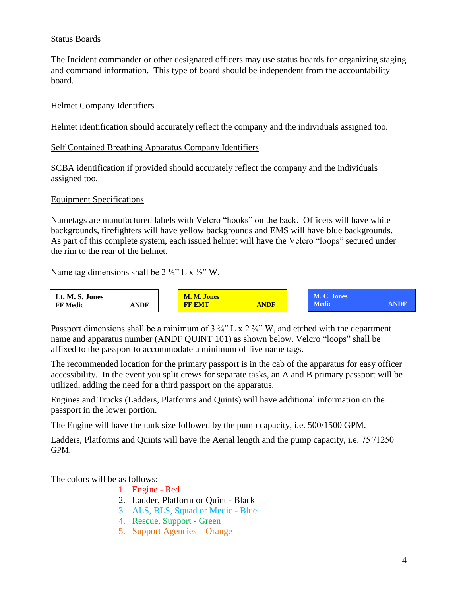## Status Boards

The Incident commander or other designated officers may use status boards for organizing staging and command information. This type of board should be independent from the accountability board.

## Helmet Company Identifiers

Helmet identification should accurately reflect the company and the individuals assigned too.

## Self Contained Breathing Apparatus Company Identifiers

SCBA identification if provided should accurately reflect the company and the individuals assigned too.

#### Equipment Specifications

Nametags are manufactured labels with Velcro "hooks" on the back. Officers will have white backgrounds, firefighters will have yellow backgrounds and EMS will have blue backgrounds. As part of this complete system, each issued helmet will have the Velcro "loops" secured under the rim to the rear of the helmet.

Name tag dimensions shall be  $2 \frac{1}{2}$ " L x  $\frac{1}{2}$ " W.



Passport dimensions shall be a minimum of  $3\frac{3}{4}$ " L x  $2\frac{3}{4}$ " W, and etched with the department name and apparatus number (ANDF QUINT 101) as shown below. Velcro "loops" shall be affixed to the passport to accommodate a minimum of five name tags.

The recommended location for the primary passport is in the cab of the apparatus for easy officer accessibility. In the event you split crews for separate tasks, an A and B primary passport will be utilized, adding the need for a third passport on the apparatus.

Engines and Trucks (Ladders, Platforms and Quints) will have additional information on the passport in the lower portion.

The Engine will have the tank size followed by the pump capacity, i.e. 500/1500 GPM.

Ladders, Platforms and Quints will have the Aerial length and the pump capacity, i.e. 75'/1250 GPM.

The colors will be as follows:

- 1. Engine Red
- 2. Ladder, Platform or Quint Black
- 3. ALS, BLS, Squad or Medic Blue
- 4. Rescue, Support Green
- 5. Support Agencies Orange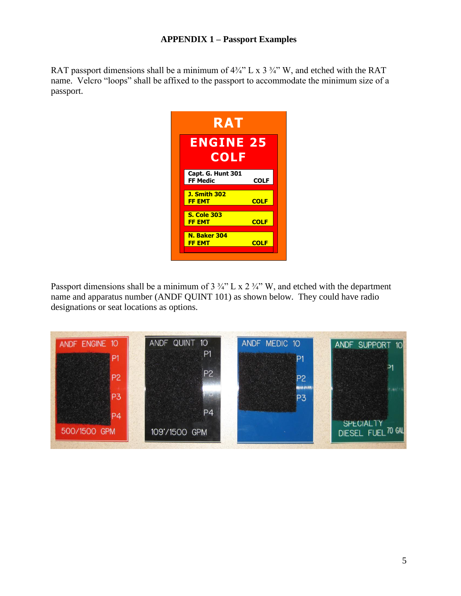# **APPENDIX 1 – Passport Examples**

RAT passport dimensions shall be a minimum of  $4\frac{3}{4}$ " L x 3  $\frac{3}{4}$ " W, and etched with the RAT name. Velcro "loops" shall be affixed to the passport to accommodate the minimum size of a passport.



Passport dimensions shall be a minimum of  $3\frac{3}{4}$ " L x  $2\frac{3}{4}$ " W, and etched with the department name and apparatus number (ANDF QUINT 101) as shown below. They could have radio designations or seat locations as options.

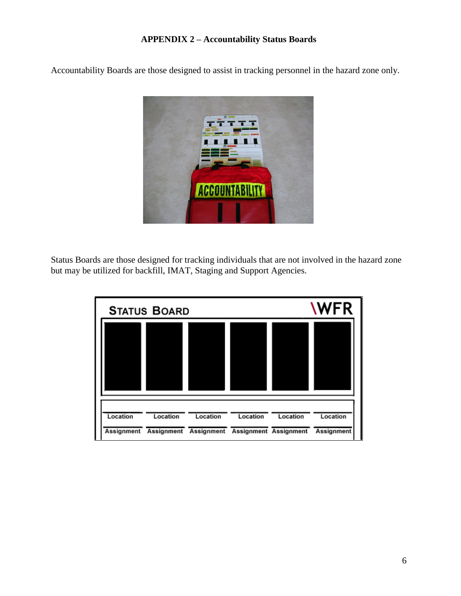# **APPENDIX 2 – Accountability Status Boards**

Accountability Boards are those designed to assist in tracking personnel in the hazard zone only.



Status Boards are those designed for tracking individuals that are not involved in the hazard zone but may be utilized for backfill, IMAT, Staging and Support Agencies.

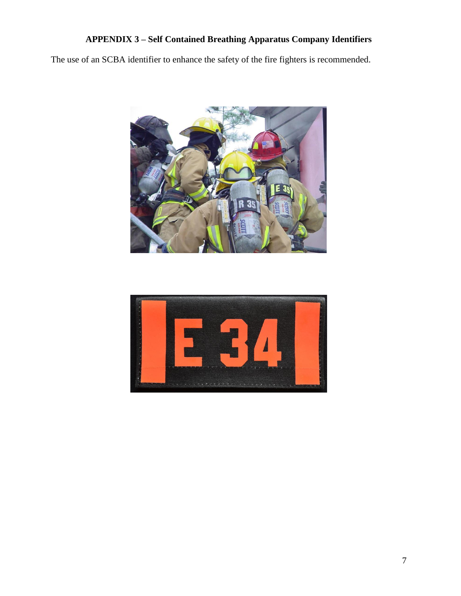# **APPENDIX 3 – Self Contained Breathing Apparatus Company Identifiers**

The use of an SCBA identifier to enhance the safety of the fire fighters is recommended.



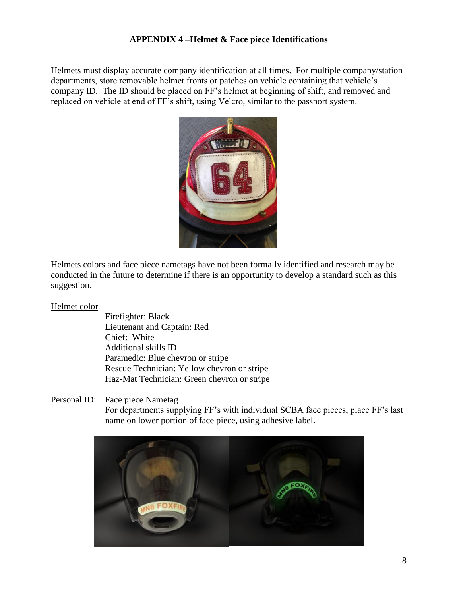# **APPENDIX 4 –Helmet & Face piece Identifications**

Helmets must display accurate company identification at all times. For multiple company/station departments, store removable helmet fronts or patches on vehicle containing that vehicle's company ID. The ID should be placed on FF's helmet at beginning of shift, and removed and replaced on vehicle at end of FF's shift, using Velcro, similar to the passport system.



Helmets colors and face piece nametags have not been formally identified and research may be conducted in the future to determine if there is an opportunity to develop a standard such as this suggestion.

#### Helmet color

Firefighter: Black Lieutenant and Captain: Red Chief: White Additional skills ID Paramedic: Blue chevron or stripe Rescue Technician: Yellow chevron or stripe Haz-Mat Technician: Green chevron or stripe

Personal ID: Face piece Nametag

For departments supplying FF's with individual SCBA face pieces, place FF's last name on lower portion of face piece, using adhesive label.